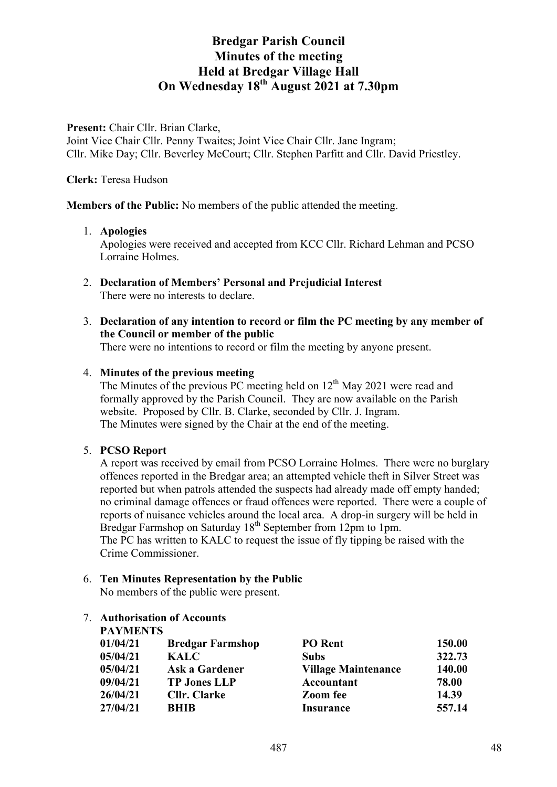Present: Chair Cllr. Brian Clarke,

Joint Vice Chair Cllr. Penny Twaites; Joint Vice Chair Cllr. Jane Ingram; Cllr. Mike Day; Cllr. Beverley McCourt; Cllr. Stephen Parfitt and Cllr. David Priestley.

**Clerk:** Teresa Hudson

**Members of the Public:** No members of the public attended the meeting.

### 1. **Apologies**

Apologies were received and accepted from KCC Cllr. Richard Lehman and PCSO Lorraine Holmes.

- 2. **Declaration of Members' Personal and Prejudicial Interest** There were no interests to declare.
- 3. **Declaration of any intention to record or film the PC meeting by any member of the Council or member of the public**

There were no intentions to record or film the meeting by anyone present.

## 4. **Minutes of the previous meeting**

The Minutes of the previous PC meeting held on  $12<sup>th</sup>$  May 2021 were read and formally approved by the Parish Council. They are now available on the Parish website. Proposed by Cllr. B. Clarke, seconded by Cllr. J. Ingram. The Minutes were signed by the Chair at the end of the meeting.

# 5. **PCSO Report**

A report was received by email from PCSO Lorraine Holmes. There were no burglary offences reported in the Bredgar area; an attempted vehicle theft in Silver Street was reported but when patrols attended the suspects had already made off empty handed; no criminal damage offences or fraud offences were reported. There were a couple of reports of nuisance vehicles around the local area. A drop-in surgery will be held in Bredgar Farmshop on Saturday 18<sup>th</sup> September from 12pm to 1pm. The PC has written to KALC to request the issue of fly tipping be raised with the Crime Commissioner.

## 6. **Ten Minutes Representation by the Public**

No members of the public were present.

## 7. **Authorisation of Accounts**

| <b>PAYMENTS</b> |                         |                            |        |  |
|-----------------|-------------------------|----------------------------|--------|--|
| 01/04/21        | <b>Bredgar Farmshop</b> | <b>PO</b> Rent             | 150.00 |  |
| 05/04/21        | <b>KALC</b>             | <b>Subs</b>                | 322.73 |  |
| 05/04/21        | Ask a Gardener          | <b>Village Maintenance</b> | 140.00 |  |
| 09/04/21        | <b>TP Jones LLP</b>     | <b>Accountant</b>          | 78.00  |  |
| 26/04/21        | <b>Cllr.</b> Clarke     | <b>Zoom</b> fee            | 14.39  |  |
| 27/04/21        | <b>BHIB</b>             | <b>Insurance</b>           | 557.14 |  |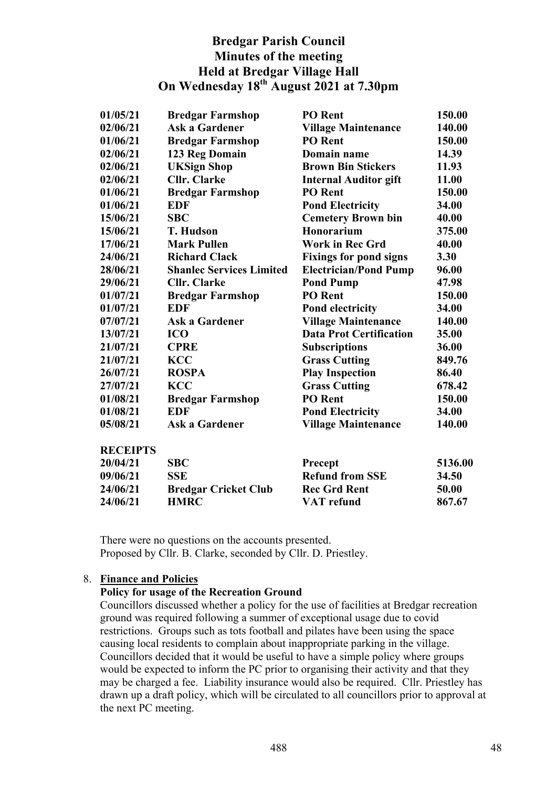| 01/05/21        | <b>Bredgar Farmshop</b>         | <b>PO</b> Rent                 | 150.00 |
|-----------------|---------------------------------|--------------------------------|--------|
| 02/06/21        | <b>Ask a Gardener</b>           | <b>Village Maintenance</b>     | 140.00 |
| 01/06/21        | <b>Bredgar Farmshop</b>         | <b>PO</b> Rent                 | 150.00 |
| 02/06/21        | 123 Reg Domain                  | Domain name                    | 14.39  |
| 02/06/21        | <b>UKSign Shop</b>              | <b>Brown Bin Stickers</b>      | 11.93  |
| 02/06/21        | <b>Cllr.</b> Clarke             | <b>Internal Auditor gift</b>   | 11.00  |
| 01/06/21        | <b>Bredgar Farmshop</b>         | <b>PO</b> Rent                 | 150.00 |
| 01/06/21        | <b>EDF</b>                      | <b>Pond Electricity</b>        | 34.00  |
| 15/06/21        | <b>SBC</b>                      | <b>Cemetery Brown bin</b>      | 40.00  |
| 15/06/21        | <b>T. Hudson</b>                | Honorarium                     | 375.00 |
| 17/06/21        | <b>Mark Pullen</b>              | <b>Work in Rec Grd</b>         | 40.00  |
| 24/06/21        | <b>Richard Clack</b>            | <b>Fixings for pond signs</b>  | 3.30   |
| 28/06/21        | <b>Shanlec Services Limited</b> | <b>Electrician/Pond Pump</b>   | 96.00  |
| 29/06/21        | <b>Cllr.</b> Clarke             | <b>Pond Pump</b>               | 47.98  |
| 01/07/21        | <b>Bredgar Farmshop</b>         | <b>PO</b> Rent                 | 150.00 |
| 01/07/21        | <b>EDF</b>                      | Pond electricity               | 34.00  |
| 07/07/21        | <b>Ask a Gardener</b>           | <b>Village Maintenance</b>     | 140.00 |
| 13/07/21        | <b>ICO</b>                      | <b>Data Prot Certification</b> | 35.00  |
| 21/07/21        | <b>CPRE</b>                     | <b>Subscriptions</b>           | 36.00  |
| 21/07/21        | <b>KCC</b>                      | <b>Grass Cutting</b>           | 849.76 |
| 26/07/21        | <b>ROSPA</b>                    | <b>Play Inspection</b>         | 86.40  |
| 27/07/21        | <b>KCC</b>                      | <b>Grass Cutting</b>           | 678.42 |
| 01/08/21        | <b>Bredgar Farmshop</b>         | PO Rent                        | 150.00 |
| 01/08/21        | EDF                             | <b>Pond Electricity</b>        | 34.00  |
| 05/08/21        | <b>Ask a Gardener</b>           | <b>Village Maintenance</b>     | 140.00 |
| <b>DECEIPTS</b> |                                 |                                |        |

| <b>RECEIPTS</b> |  |
|-----------------|--|
| - - - - - - -   |  |

| 20/04/21<br>SBC.<br>09/06/21<br>SSE | <b>Precept</b>              | 5136.00                |        |
|-------------------------------------|-----------------------------|------------------------|--------|
|                                     |                             | <b>Refund from SSE</b> | 34.50  |
| 24/06/21                            | <b>Bredgar Cricket Club</b> | <b>Rec Grd Rent</b>    | 50.00  |
| 24/06/21                            | HMRC.                       | VAT refund             | 867.67 |

There were no questions on the accounts presented. Proposed by Cllr. B. Clarke, seconded by Cllr. D. Priestley.

## 8. **Finance and Policies**

## **Policy for usage of the Recreation Ground**

Councillors discussed whether a policy for the use of facilities at Bredgar recreation ground was required following a summer of exceptional usage due to covid restrictions. Groups such as tots football and pilates have been using the space causing local residents to complain about inappropriate parking in the village. Councillors decided that it would be useful to have a simple policy where groups would be expected to inform the PC prior to organising their activity and that they may be charged a fee. Liability insurance would also be required. Cllr. Priestley has drawn up a draft policy, which will be circulated to all councillors prior to approval at the next PC meeting.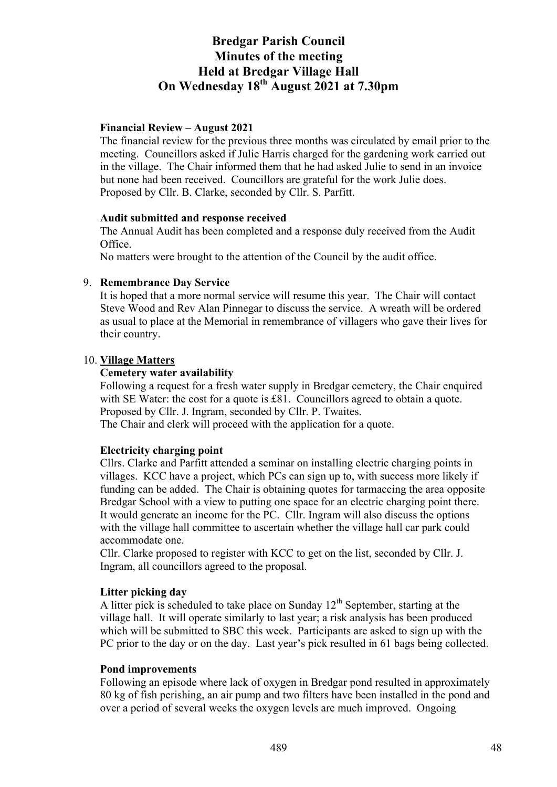## **Financial Review – August 2021**

The financial review for the previous three months was circulated by email prior to the meeting. Councillors asked if Julie Harris charged for the gardening work carried out in the village. The Chair informed them that he had asked Julie to send in an invoice but none had been received. Councillors are grateful for the work Julie does. Proposed by Cllr. B. Clarke, seconded by Cllr. S. Parfitt.

#### **Audit submitted and response received**

The Annual Audit has been completed and a response duly received from the Audit Office.

No matters were brought to the attention of the Council by the audit office.

### 9. **Remembrance Day Service**

It is hoped that a more normal service will resume this year. The Chair will contact Steve Wood and Rev Alan Pinnegar to discuss the service. A wreath will be ordered as usual to place at the Memorial in remembrance of villagers who gave their lives for their country.

### 10. **Village Matters**

#### **Cemetery water availability**

Following a request for a fresh water supply in Bredgar cemetery, the Chair enquired with SE Water: the cost for a quote is £81. Councillors agreed to obtain a quote. Proposed by Cllr. J. Ingram, seconded by Cllr. P. Twaites. The Chair and clerk will proceed with the application for a quote.

# **Electricity charging point**

Cllrs. Clarke and Parfitt attended a seminar on installing electric charging points in villages. KCC have a project, which PCs can sign up to, with success more likely if funding can be added. The Chair is obtaining quotes for tarmaccing the area opposite Bredgar School with a view to putting one space for an electric charging point there. It would generate an income for the PC. Cllr. Ingram will also discuss the options with the village hall committee to ascertain whether the village hall car park could accommodate one.

Cllr. Clarke proposed to register with KCC to get on the list, seconded by Cllr. J. Ingram, all councillors agreed to the proposal.

#### **Litter picking day**

A litter pick is scheduled to take place on Sunday  $12<sup>th</sup>$  September, starting at the village hall. It will operate similarly to last year; a risk analysis has been produced which will be submitted to SBC this week. Participants are asked to sign up with the PC prior to the day or on the day. Last year's pick resulted in 61 bags being collected.

#### **Pond improvements**

Following an episode where lack of oxygen in Bredgar pond resulted in approximately 80 kg of fish perishing, an air pump and two filters have been installed in the pond and over a period of several weeks the oxygen levels are much improved. Ongoing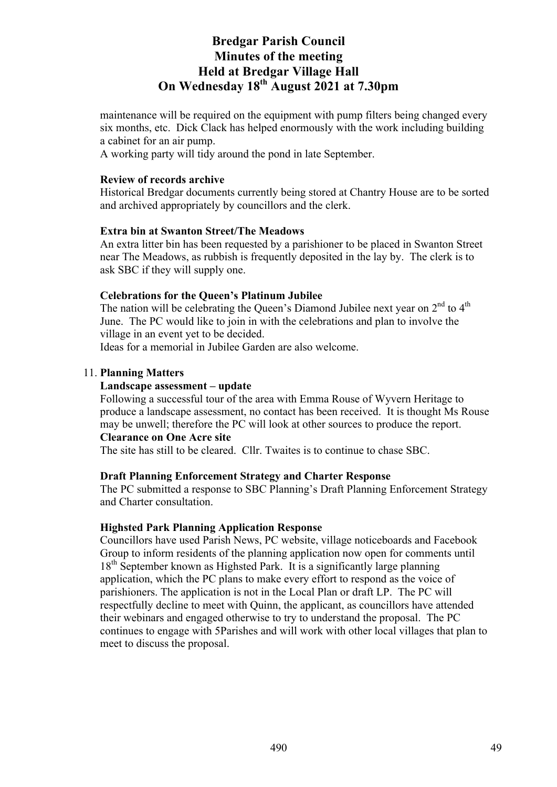maintenance will be required on the equipment with pump filters being changed every six months, etc. Dick Clack has helped enormously with the work including building a cabinet for an air pump.

A working party will tidy around the pond in late September.

## **Review of records archive**

Historical Bredgar documents currently being stored at Chantry House are to be sorted and archived appropriately by councillors and the clerk.

### **Extra bin at Swanton Street/The Meadows**

An extra litter bin has been requested by a parishioner to be placed in Swanton Street near The Meadows, as rubbish is frequently deposited in the lay by. The clerk is to ask SBC if they will supply one.

### **Celebrations for the Queen's Platinum Jubilee**

The nation will be celebrating the Queen's Diamond Jubilee next year on  $2<sup>nd</sup>$  to  $4<sup>th</sup>$ June. The PC would like to join in with the celebrations and plan to involve the village in an event yet to be decided.

Ideas for a memorial in Jubilee Garden are also welcome.

### 11. **Planning Matters**

### **Landscape assessment – update**

Following a successful tour of the area with Emma Rouse of Wyvern Heritage to produce a landscape assessment, no contact has been received. It is thought Ms Rouse may be unwell; therefore the PC will look at other sources to produce the report. **Clearance on One Acre site**

The site has still to be cleared. Cllr. Twaites is to continue to chase SBC.

#### **Draft Planning Enforcement Strategy and Charter Response**

The PC submitted a response to SBC Planning's Draft Planning Enforcement Strategy and Charter consultation.

#### **Highsted Park Planning Application Response**

Councillors have used Parish News, PC website, village noticeboards and Facebook Group to inform residents of the planning application now open for comments until 18<sup>th</sup> September known as Highsted Park. It is a significantly large planning application, which the PC plans to make every effort to respond as the voice of parishioners. The application is not in the Local Plan or draft LP. The PC will respectfully decline to meet with Quinn, the applicant, as councillors have attended their webinars and engaged otherwise to try to understand the proposal. The PC continues to engage with 5Parishes and will work with other local villages that plan to meet to discuss the proposal.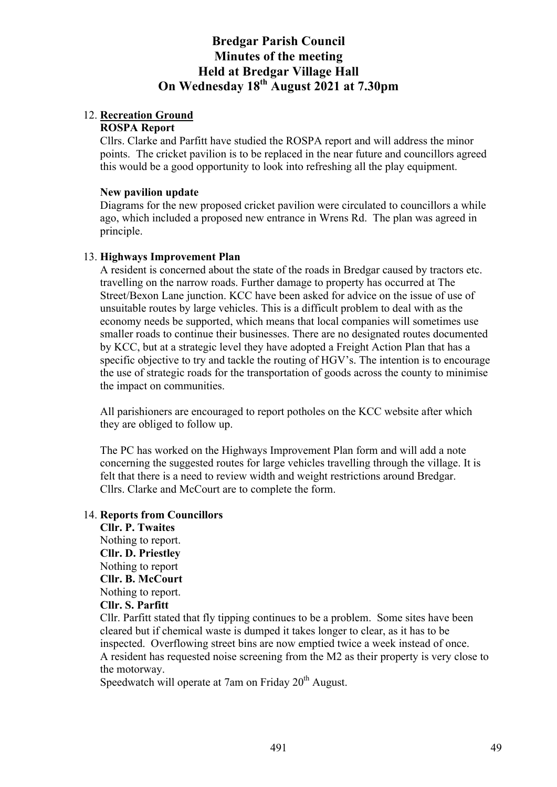# 12. **Recreation Ground**

## **ROSPA Report**

Cllrs. Clarke and Parfitt have studied the ROSPA report and will address the minor points. The cricket pavilion is to be replaced in the near future and councillors agreed this would be a good opportunity to look into refreshing all the play equipment.

#### **New pavilion update**

Diagrams for the new proposed cricket pavilion were circulated to councillors a while ago, which included a proposed new entrance in Wrens Rd. The plan was agreed in principle.

### 13. **Highways Improvement Plan**

A resident is concerned about the state of the roads in Bredgar caused by tractors etc. travelling on the narrow roads. Further damage to property has occurred at The Street/Bexon Lane junction. KCC have been asked for advice on the issue of use of unsuitable routes by large vehicles. This is a difficult problem to deal with as the economy needs be supported, which means that local companies will sometimes use smaller roads to continue their businesses. There are no designated routes documented by KCC, but at a strategic level they have adopted a Freight Action Plan that has a specific objective to try and tackle the routing of HGV's. The intention is to encourage the use of strategic roads for the transportation of goods across the county to minimise the impact on communities.

All parishioners are encouraged to report potholes on the KCC website after which they are obliged to follow up.

The PC has worked on the Highways Improvement Plan form and will add a note concerning the suggested routes for large vehicles travelling through the village. It is felt that there is a need to review width and weight restrictions around Bredgar. Cllrs. Clarke and McCourt are to complete the form.

#### 14. **Reports from Councillors**

**Cllr. P. Twaites** Nothing to report. **Cllr. D. Priestley** Nothing to report **Cllr. B. McCourt** Nothing to report.

**Cllr. S. Parfitt**

Cllr. Parfitt stated that fly tipping continues to be a problem. Some sites have been cleared but if chemical waste is dumped it takes longer to clear, as it has to be inspected. Overflowing street bins are now emptied twice a week instead of once. A resident has requested noise screening from the M2 as their property is very close to the motorway.

Speedwatch will operate at 7am on Friday  $20<sup>th</sup>$  August.